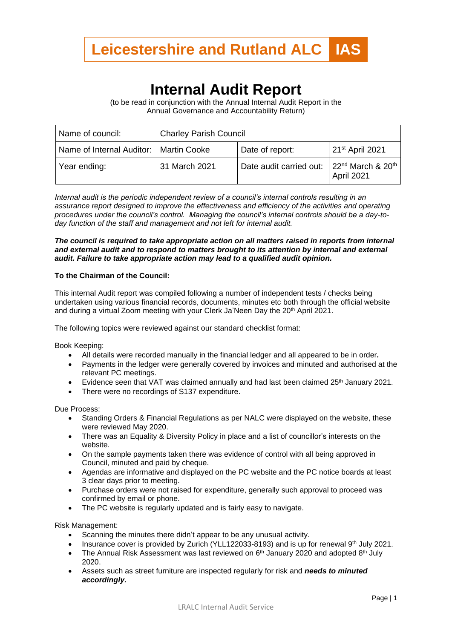

## **Internal Audit Report**

(to be read in conjunction with the Annual Internal Audit Report in the Annual Governance and Accountability Return)

| Name of council:                         | <b>Charley Parish Council</b> |                         |                                                  |
|------------------------------------------|-------------------------------|-------------------------|--------------------------------------------------|
| Name of Internal Auditor:   Martin Cooke |                               | Date of report:         | 21 <sup>st</sup> April 2021                      |
| Year ending:                             | 31 March 2021                 | Date audit carried out: | $22^{nd}$ March & 20 <sup>th</sup><br>April 2021 |

*Internal audit is the periodic independent review of a council's internal controls resulting in an assurance report designed to improve the effectiveness and efficiency of the activities and operating procedures under the council's control. Managing the council's internal controls should be a day-today function of the staff and management and not left for internal audit.*

## *The council is required to take appropriate action on all matters raised in reports from internal and external audit and to respond to matters brought to its attention by internal and external audit. Failure to take appropriate action may lead to a qualified audit opinion.*

## **To the Chairman of the Council:**

This internal Audit report was compiled following a number of independent tests / checks being undertaken using various financial records, documents, minutes etc both through the official website and during a virtual Zoom meeting with your Clerk Ja'Neen Day the 20<sup>th</sup> April 2021.

The following topics were reviewed against our standard checklist format:

Book Keeping:

- All details were recorded manually in the financial ledger and all appeared to be in order*.*
- Payments in the ledger were generally covered by invoices and minuted and authorised at the relevant PC meetings.
- Evidence seen that VAT was claimed annually and had last been claimed 25<sup>th</sup> January 2021.
- There were no recordings of S137 expenditure.

Due Process:

- Standing Orders & Financial Regulations as per NALC were displayed on the website, these were reviewed May 2020.
- There was an Equality & Diversity Policy in place and a list of councillor's interests on the website.
- On the sample payments taken there was evidence of control with all being approved in Council, minuted and paid by cheque.
- Agendas are informative and displayed on the PC website and the PC notice boards at least 3 clear days prior to meeting.
- Purchase orders were not raised for expenditure, generally such approval to proceed was confirmed by email or phone.
- The PC website is regularly updated and is fairly easy to navigate.

Risk Management:

- Scanning the minutes there didn't appear to be any unusual activity.
- Insurance cover is provided by Zurich (YLL122033-8193) and is up for renewal 9<sup>th</sup> July 2021.
- The Annual Risk Assessment was last reviewed on  $6<sup>th</sup>$  January 2020 and adopted  $8<sup>th</sup>$  July 2020.
- Assets such as street furniture are inspected regularly for risk and *needs to minuted accordingly.*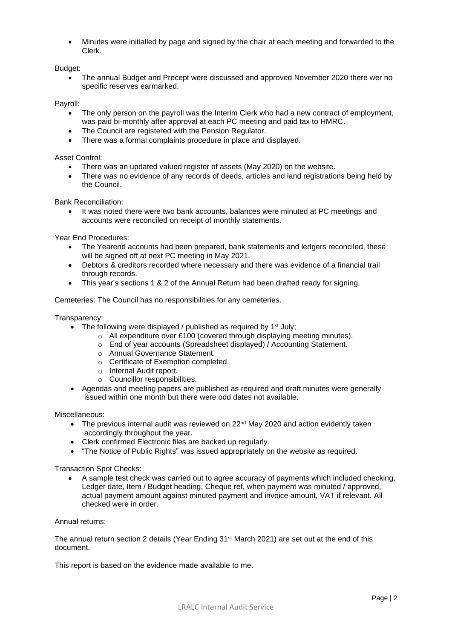• Minutes were initialled by page and signed by the chair at each meeting and forwarded to the Clerk.

Budget:

• The annual Budget and Precept were discussed and approved November 2020 there wer no specific reserves earmarked.

Payroll:

- The only person on the payroll was the Interim Clerk who had a new contract of employment, was paid bi-monthly after approval at each PC meeting and paid tax to HMRC.
- The Council are registered with the Pension Regulator.
- There was a formal complaints procedure in place and displayed.

Asset Control:

- There was an updated valued register of assets (May 2020) on the website.
- There was no evidence of any records of deeds, articles and land registrations being held by the Council.

Bank Reconciliation:

It was noted there were two bank accounts, balances were minuted at PC meetings and accounts were reconciled on receipt of monthly statements.

Year End Procedures:

- The Yearend accounts had been prepared, bank statements and ledgers reconciled, these will be signed off at next PC meeting in May 2021.
- Debtors & creditors recorded where necessary and there was evidence of a financial trail through records.
- This year's sections 1 & 2 of the Annual Return had been drafted ready for signing.

Cemeteries: The Council has no responsibilities for any cemeteries.

Transparency:

- The following were displayed / published as required by  $1<sup>st</sup>$  July;
	- o All expenditure over £100 (covered through displaying meeting minutes).
	- o End of year accounts (Spreadsheet displayed) / Accounting Statement.
	- o Annual Governance Statement.
	- o Certificate of Exemption completed.
	- o Internal Audit report.
	- o Councillor responsibilities.
- Agendas and meeting papers are published as required and draft minutes were generally issued within one month but there were odd dates not available.

Miscellaneous:

- The previous internal audit was reviewed on 22<sup>nd</sup> May 2020 and action evidently taken accordingly throughout the year.
- Clerk confirmed Electronic files are backed up regularly.
- "The Notice of Public Rights" was issued appropriately on the website as required.

Transaction Spot Checks:

• A sample test check was carried out to agree accuracy of payments which included checking, Ledger date, Item / Budget heading, Cheque ref, when payment was minuted / approved, actual payment amount against minuted payment and invoice amount, VAT if relevant. All checked were in order.

Annual returns:

The annual return section 2 details (Year Ending 31<sup>st</sup> March 2021) are set out at the end of this document.

This report is based on the evidence made available to me.